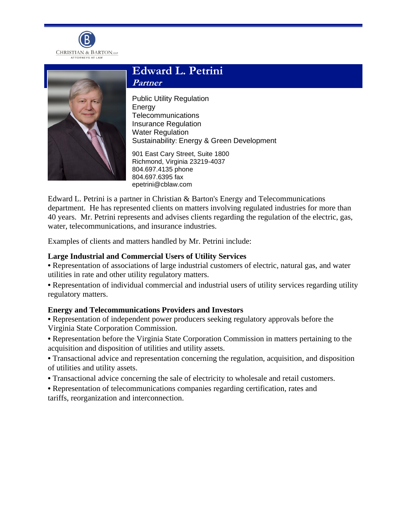



# **Edward L. Petrini**

**Partner**

Public Utility Regulation **Energy** Telecommunications Insurance Regulation Water Regulation Sustainability: Energy & Green Development

901 East Cary Street, Suite 1800 Richmond, Virginia 23219-4037 804.697.4135 phone 804.697.6395 fax epetrini@cblaw.com

Edward L. Petrini is a partner in Christian & Barton's Energy and Telecommunications department. He has represented clients on matters involving regulated industries for more than 40 years. Mr. Petrini represents and advises clients regarding the regulation of the electric, gas, water, telecommunications, and insurance industries.

Examples of clients and matters handled by Mr. Petrini include:

# **Large Industrial and Commercial Users of Utility Services**

**•** Representation of associations of large industrial customers of electric, natural gas, and water utilities in rate and other utility regulatory matters.

**•** Representation of individual commercial and industrial users of utility services regarding utility regulatory matters.

# **Energy and Telecommunications Providers and Investors**

- **•** Representation of independent power producers seeking regulatory approvals before the Virginia State Corporation Commission.
- **•** Representation before the Virginia State Corporation Commission in matters pertaining to the acquisition and disposition of utilities and utility assets.
- Transactional advice and representation concerning the regulation, acquisition, and disposition of utilities and utility assets.
- **•** Transactional advice concerning the sale of electricity to wholesale and retail customers.
- **•** Representation of telecommunications companies regarding certification, rates and tariffs, reorganization and interconnection.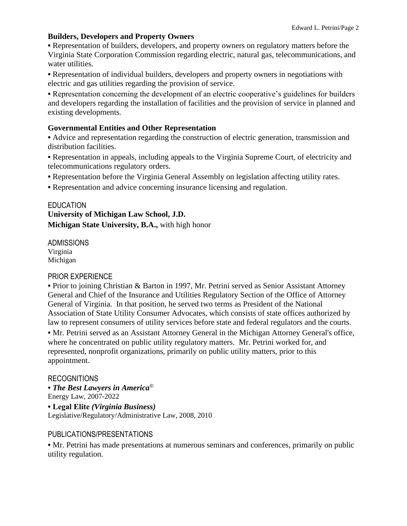# **Builders, Developers and Property Owners**

**•** Representation of builders, developers, and property owners on regulatory matters before the Virginia State Corporation Commission regarding electric, natural gas, telecommunications, and water utilities.

**•** Representation of individual builders, developers and property owners in negotiations with electric and gas utilities regarding the provision of service.

**•** Representation concerning the development of an electric cooperative's guidelines for builders and developers regarding the installation of facilities and the provision of service in planned and existing developments.

#### **Governmental Entities and Other Representation**

**•** Advice and representation regarding the construction of electric generation, transmission and distribution facilities.

**•** Representation in appeals, including appeals to the Virginia Supreme Court, of electricity and telecommunications regulatory orders.

- **•** Representation before the Virginia General Assembly on legislation affecting utility rates.
- **•** Representation and advice concerning insurance licensing and regulation.

#### **EDUCATION**

**University of Michigan Law School, J.D. Michigan State University, B.A.,** with high honor

ADMISSIONS Virginia Michigan

# PRIOR EXPERIENCE

• Prior to joining Christian & Barton in 1997, Mr. Petrini served as Senior Assistant Attorney General and Chief of the Insurance and Utilities Regulatory Section of the Office of Attorney General of Virginia. In that position, he served two terms as President of the National Association of State Utility Consumer Advocates, which consists of state offices authorized by law to represent consumers of utility services before state and federal regulators and the courts. **•** Mr. Petrini served as an Assistant Attorney General in the Michigan Attorney General's office,

where he concentrated on public utility regulatory matters. Mr. Petrini worked for, and represented, nonprofit organizations, primarily on public utility matters, prior to this appointment.

# RECOGNITIONS

**•** *The Best Lawyers in America©* Energy Law, 2007-2022

**• Legal Elite** *(Virginia Business)* Legislative/Regulatory/Administrative Law, 2008, 2010

# PUBLICATIONS/PRESENTATIONS

**•** Mr. Petrini has made presentations at numerous seminars and conferences, primarily on public utility regulation.